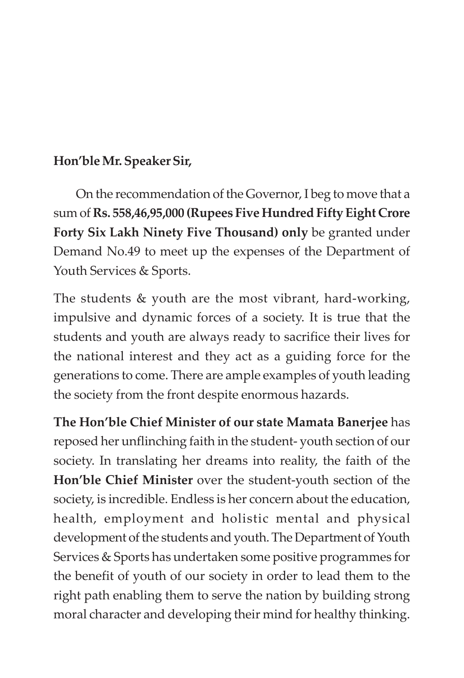#### **Hon'ble Mr. Speaker Sir,**

On the recommendation of the Governor, I beg to move that a sum of **Rs. 558,46,95,000 (Rupees Five Hundred Fifty Eight Crore Forty Six Lakh Ninety Five Thousand) only** be granted under Demand No.49 to meet up the expenses of the Department of Youth Services & Sports.

The students & youth are the most vibrant, hard-working, impulsive and dynamic forces of a society. It is true that the students and youth are always ready to sacrifice their lives for the national interest and they act as a guiding force for the generations to come. There are ample examples of youth leading the society from the front despite enormous hazards.

**The Hon'ble Chief Minister of our state Mamata Banerjee** has reposed her unflinching faith in the student- youth section of our society. In translating her dreams into reality, the faith of the **Hon'ble Chief Minister** over the student-youth section of the society, is incredible. Endless is her concern about the education, health, employment and holistic mental and physical development of the students and youth. The Department of Youth Services & Sports has undertaken some positive programmes for the benefit of youth of our society in order to lead them to the right path enabling them to serve the nation by building strong moral character and developing their mind for healthy thinking.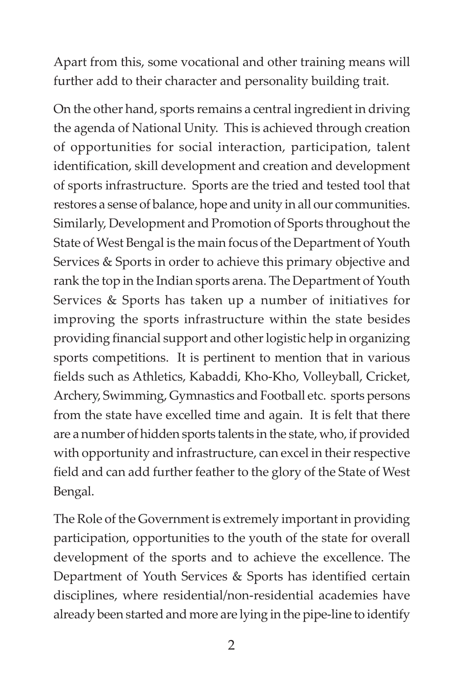Apart from this, some vocational and other training means will further add to their character and personality building trait.

On the other hand, sports remains a central ingredient in driving the agenda of National Unity. This is achieved through creation of opportunities for social interaction, participation, talent identification, skill development and creation and development of sports infrastructure. Sports are the tried and tested tool that restores a sense of balance, hope and unity in all our communities. Similarly, Development and Promotion of Sports throughout the State of West Bengal is the main focus of the Department of Youth Services & Sports in order to achieve this primary objective and rank the top in the Indian sports arena. The Department of Youth Services & Sports has taken up a number of initiatives for improving the sports infrastructure within the state besides providing financial support and other logistic help in organizing sports competitions. It is pertinent to mention that in various fields such as Athletics, Kabaddi, Kho-Kho, Volleyball, Cricket, Archery, Swimming, Gymnastics and Football etc. sports persons from the state have excelled time and again. It is felt that there are a number of hidden sports talents in the state, who, if provided with opportunity and infrastructure, can excel in their respective field and can add further feather to the glory of the State of West Bengal.

The Role of the Government is extremely important in providing participation, opportunities to the youth of the state for overall development of the sports and to achieve the excellence. The Department of Youth Services & Sports has identified certain disciplines, where residential/non-residential academies have already been started and more are lying in the pipe-line to identify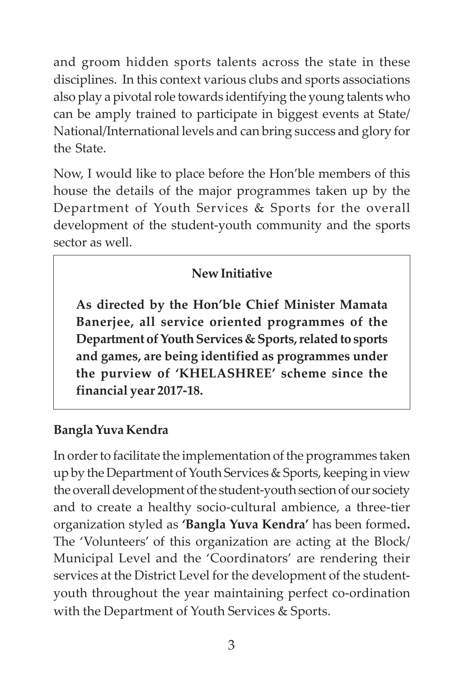and groom hidden sports talents across the state in these disciplines. In this context various clubs and sports associations also play a pivotal role towards identifying the young talents who can be amply trained to participate in biggest events at State/ National/International levels and can bring success and glory for the State.

Now, I would like to place before the Hon'ble members of this house the details of the major programmes taken up by the Department of Youth Services & Sports for the overall development of the student-youth community and the sports sector as well.

## **New Initiative**

**As directed by the Hon'ble Chief Minister Mamata Banerjee, all service oriented programmes of the Department of Youth Services & Sports, related to sports and games, are being identified as programmes under the purview of 'KHELASHREE' scheme since the financial year 2017-18.**

## **Bangla Yuva Kendra**

In order to facilitate the implementation of the programmes taken up by the Department of Youth Services & Sports, keeping in view the overall development of the student-youth section of our society and to create a healthy socio-cultural ambience, a three-tier organization styled as **'Bangla Yuva Kendra'** has been formed**.** The 'Volunteers' of this organization are acting at the Block/ Municipal Level and the 'Coordinators' are rendering their services at the District Level for the development of the studentyouth throughout the year maintaining perfect co-ordination with the Department of Youth Services & Sports.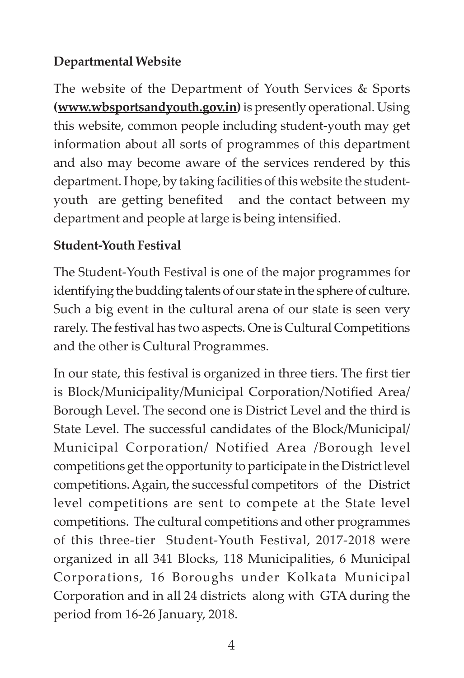#### **Departmental Website**

The website of the Department of Youth Services & Sports **(www.wbsportsandyouth.gov.in)** is presently operational. Using this website, common people including student-youth may get information about all sorts of programmes of this department and also may become aware of the services rendered by this department. I hope, by taking facilities of this website the studentyouth are getting benefited and the contact between my department and people at large is being intensified.

#### **Student-Youth Festival**

The Student-Youth Festival is one of the major programmes for identifying the budding talents of our state in the sphere of culture. Such a big event in the cultural arena of our state is seen very rarely. The festival has two aspects. One is Cultural Competitions and the other is Cultural Programmes.

In our state, this festival is organized in three tiers. The first tier is Block/Municipality/Municipal Corporation/Notified Area/ Borough Level. The second one is District Level and the third is State Level. The successful candidates of the Block/Municipal/ Municipal Corporation/ Notified Area /Borough level competitions get the opportunity to participate in the District level competitions. Again, the successful competitors of the District level competitions are sent to compete at the State level competitions. The cultural competitions and other programmes of this three-tier Student-Youth Festival, 2017-2018 were organized in all 341 Blocks, 118 Municipalities, 6 Municipal Corporations, 16 Boroughs under Kolkata Municipal Corporation and in all 24 districts along with GTA during the period from 16-26 January, 2018.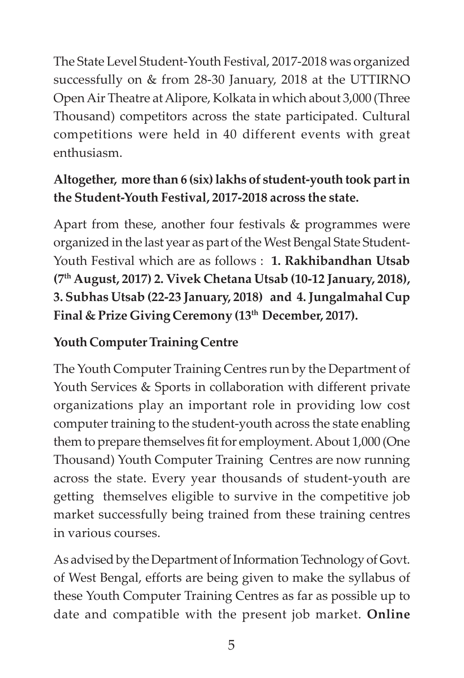The State Level Student-Youth Festival, 2017-2018 was organized successfully on & from 28-30 January, 2018 at the UTTIRNO Open Air Theatre at Alipore, Kolkata in which about 3,000 (Three Thousand) competitors across the state participated. Cultural competitions were held in 40 different events with great enthusiasm.

## **Altogether, more than 6 (six) lakhs of student-youth took part in the Student-Youth Festival, 2017-2018 across the state.**

Apart from these, another four festivals & programmes were organized in the last year as part of the West Bengal State Student-Youth Festival which are as follows : **1. Rakhibandhan Utsab (7th August, 2017) 2. Vivek Chetana Utsab (10-12 January, 2018), 3. Subhas Utsab (22-23 January, 2018) and 4. Jungalmahal Cup Final & Prize Giving Ceremony (13th December, 2017).**

#### **Youth Computer Training Centre**

The Youth Computer Training Centres run by the Department of Youth Services & Sports in collaboration with different private organizations play an important role in providing low cost computer training to the student-youth across the state enabling them to prepare themselves fit for employment. About 1,000 (One Thousand) Youth Computer Training Centres are now running across the state. Every year thousands of student-youth are getting themselves eligible to survive in the competitive job market successfully being trained from these training centres in various courses.

As advised by the Department of Information Technology of Govt. of West Bengal, efforts are being given to make the syllabus of these Youth Computer Training Centres as far as possible up to date and compatible with the present job market. **Online**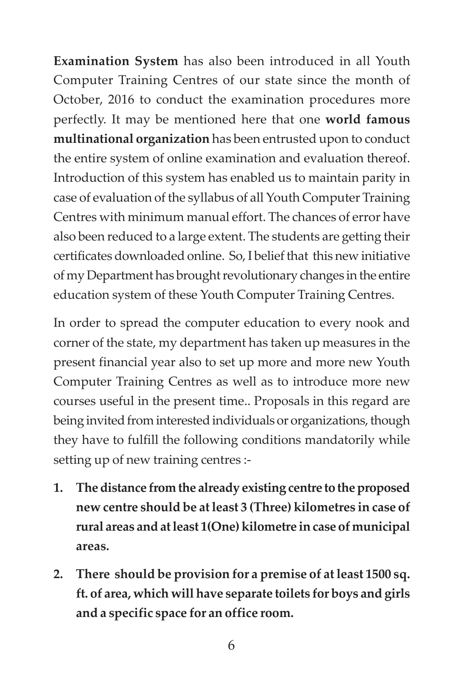**Examination System** has also been introduced in all Youth Computer Training Centres of our state since the month of October, 2016 to conduct the examination procedures more perfectly. It may be mentioned here that one **world famous multinational organization** has been entrusted upon to conduct the entire system of online examination and evaluation thereof. Introduction of this system has enabled us to maintain parity in case of evaluation of the syllabus of all Youth Computer Training Centres with minimum manual effort. The chances of error have also been reduced to a large extent. The students are getting their certificates downloaded online. So, I belief that this new initiative of my Department has brought revolutionary changes in the entire education system of these Youth Computer Training Centres.

In order to spread the computer education to every nook and corner of the state, my department has taken up measures in the present financial year also to set up more and more new Youth Computer Training Centres as well as to introduce more new courses useful in the present time.. Proposals in this regard are being invited from interested individuals or organizations, though they have to fulfill the following conditions mandatorily while setting up of new training centres :-

- **1. The distance from the already existing centre to the proposed new centre should be at least 3 (Three) kilometres in case of rural areas and at least 1(One) kilometre in case of municipal areas.**
- **2. There should be provision for a premise of at least 1500 sq. ft. of area, which will have separate toilets for boys and girls and a specific space for an office room.**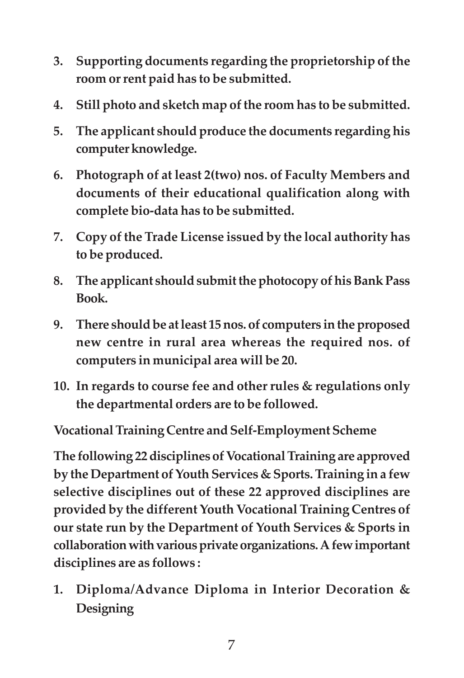- **3. Supporting documents regarding the proprietorship of the room or rent paid has to be submitted.**
- **4. Still photo and sketch map of the room has to be submitted.**
- **5. The applicant should produce the documents regarding his computer knowledge.**
- **6. Photograph of at least 2(two) nos. of Faculty Members and documents of their educational qualification along with complete bio-data has to be submitted.**
- **7. Copy of the Trade License issued by the local authority has to be produced.**
- **8. The applicant should submit the photocopy of his Bank Pass Book.**
- **9. There should be at least 15 nos. of computers in the proposed new centre in rural area whereas the required nos. of computers in municipal area will be 20.**
- **10. In regards to course fee and other rules & regulations only the departmental orders are to be followed.**

**Vocational Training Centre and Self-Employment Scheme**

**The following 22 disciplines of Vocational Training are approved by the Department of Youth Services & Sports. Training in a few selective disciplines out of these 22 approved disciplines are provided by the different Youth Vocational Training Centres of our state run by the Department of Youth Services & Sports in collaboration with various private organizations. A few important disciplines are as follows :**

**1. Diploma/Advance Diploma in Interior Decoration & Designing**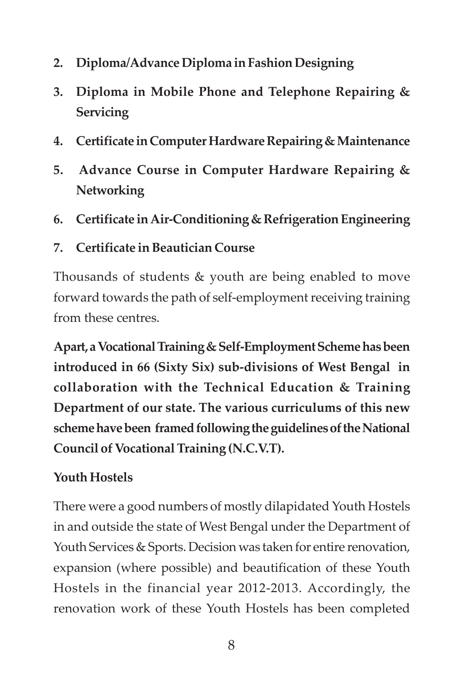- **2. Diploma/Advance Diploma in Fashion Designing**
- **3. Diploma in Mobile Phone and Telephone Repairing & Servicing**
- **4. Certificate in Computer Hardware Repairing & Maintenance**
- **5. Advance Course in Computer Hardware Repairing & Networking**
- **6. Certificate in Air-Conditioning & Refrigeration Engineering**
- **7. Certificate in Beautician Course**

Thousands of students & youth are being enabled to move forward towards the path of self-employment receiving training from these centres.

**Apart, a Vocational Training & Self-Employment Scheme has been introduced in 66 (Sixty Six) sub-divisions of West Bengal in collaboration with the Technical Education & Training Department of our state. The various curriculums of this new scheme have been framed following the guidelines of the National Council of Vocational Training (N.C.V.T).**

## **Youth Hostels**

There were a good numbers of mostly dilapidated Youth Hostels in and outside the state of West Bengal under the Department of Youth Services & Sports. Decision was taken for entire renovation, expansion (where possible) and beautification of these Youth Hostels in the financial year 2012-2013. Accordingly, the renovation work of these Youth Hostels has been completed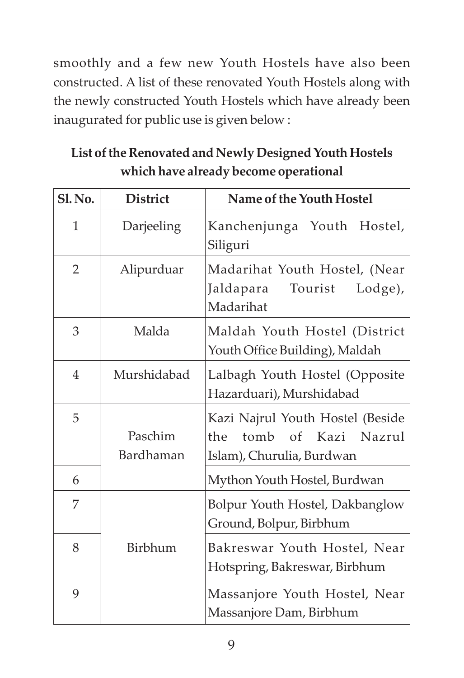smoothly and a few new Youth Hostels have also been constructed. A list of these renovated Youth Hostels along with the newly constructed Youth Hostels which have already been inaugurated for public use is given below :

| List of the Renovated and Newly Designed Youth Hostels |
|--------------------------------------------------------|
| which have already become operational                  |

| <b>Sl. No.</b> | <b>District</b>      | Name of the Youth Hostel                                                                    |
|----------------|----------------------|---------------------------------------------------------------------------------------------|
| $\mathbf{1}$   | Darjeeling           | Kanchenjunga Youth Hostel,<br>Siliguri                                                      |
| $\overline{2}$ | Alipurduar           | Madarihat Youth Hostel, (Near<br>Tourist<br>Jaldapara<br>Lodge),<br>Madarihat               |
| 3              | Malda                | Maldah Youth Hostel (District<br>Youth Office Building), Maldah                             |
| $\overline{4}$ | Murshidabad          | Lalbagh Youth Hostel (Opposite<br>Hazarduari), Murshidabad                                  |
| 5              | Paschim<br>Bardhaman | Kazi Najrul Youth Hostel (Beside<br>the<br>tomb of Kazi Nazrul<br>Islam), Churulia, Burdwan |
| 6              |                      | Mython Youth Hostel, Burdwan                                                                |
| 7              |                      | Bolpur Youth Hostel, Dakbanglow<br>Ground, Bolpur, Birbhum                                  |
| 8              | Birbhum              | Bakreswar Youth Hostel, Near<br>Hotspring, Bakreswar, Birbhum                               |
| 9              |                      | Massanjore Youth Hostel, Near<br>Massanjore Dam, Birbhum                                    |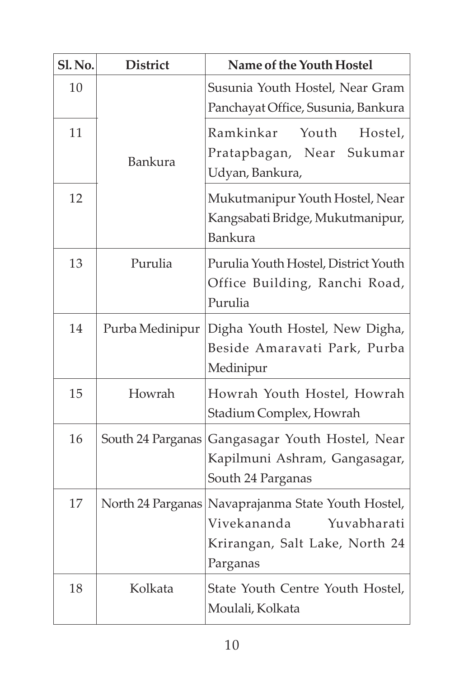| <b>Sl. No.</b> | <b>District</b>   | Name of the Youth Hostel                                                                                                         |
|----------------|-------------------|----------------------------------------------------------------------------------------------------------------------------------|
| 10             |                   | Susunia Youth Hostel, Near Gram<br>Panchayat Office, Susunia, Bankura                                                            |
| 11             | Bankura           | Ramkinkar<br>Youth<br>Hostel,<br>Pratapbagan, Near Sukumar<br>Udyan, Bankura,                                                    |
| 12             |                   | Mukutmanipur Youth Hostel, Near<br>Kangsabati Bridge, Mukutmanipur,<br><b>Bankura</b>                                            |
| 13             | Purulia           | Purulia Youth Hostel, District Youth<br>Office Building, Ranchi Road,<br>Purulia                                                 |
| 14             | Purba Medinipur   | Digha Youth Hostel, New Digha,<br>Beside Amaravati Park, Purba<br>Medinipur                                                      |
| 15             | Howrah            | Howrah Youth Hostel, Howrah<br>Stadium Complex, Howrah                                                                           |
| 16             | South 24 Parganas | Gangasagar Youth Hostel, Near<br>Kapilmuni Ashram, Gangasagar,<br>South 24 Parganas                                              |
| 17             |                   | North 24 Parganas   Navaprajanma State Youth Hostel,<br>Vivekananda<br>Yuvabharati<br>Krirangan, Salt Lake, North 24<br>Parganas |
| 18             | Kolkata           | State Youth Centre Youth Hostel,<br>Moulali, Kolkata                                                                             |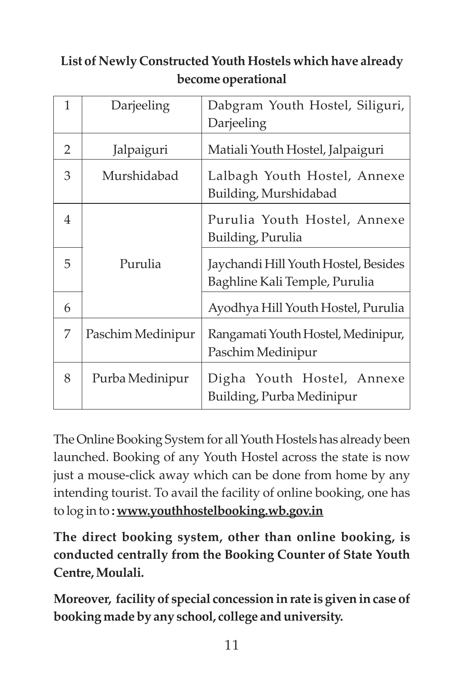## **List of Newly Constructed Youth Hostels which have already become operational**

| $\mathbf{1}$   | Darjeeling        | Dabgram Youth Hostel, Siliguri,<br>Darjeeling                         |
|----------------|-------------------|-----------------------------------------------------------------------|
| 2              | Jalpaiguri        | Matiali Youth Hostel, Jalpaiguri                                      |
| 3              | Murshidabad       | Lalbagh Youth Hostel, Annexe<br>Building, Murshidabad                 |
| $\overline{4}$ |                   | Purulia Youth Hostel, Annexe<br>Building, Purulia                     |
| 5              | Purulia           | Jaychandi Hill Youth Hostel, Besides<br>Baghline Kali Temple, Purulia |
| 6              |                   | Ayodhya Hill Youth Hostel, Purulia                                    |
| 7              | Paschim Medinipur | Rangamati Youth Hostel, Medinipur,<br>Paschim Medinipur               |
| 8              | Purba Medinipur   | Digha Youth Hostel, Annexe<br>Building, Purba Medinipur               |

The Online Booking System for all Youth Hostels has already been launched. Booking of any Youth Hostel across the state is now just a mouse-click away which can be done from home by any intending tourist. To avail the facility of online booking, one has to log in to **: www.youthhostelbooking.wb.gov.in**

**The direct booking system, other than online booking, is conducted centrally from the Booking Counter of State Youth Centre, Moulali.**

**Moreover, facility of special concession in rate is given in case of booking made by any school, college and university.**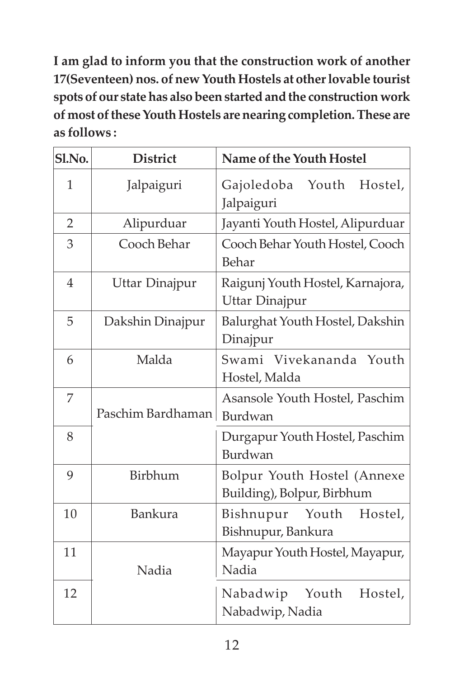**I am glad to inform you that the construction work of another 17(Seventeen) nos. of new Youth Hostels at other lovable tourist spots of our state has also been started and the construction work of most of these Youth Hostels are nearing completion. These are as follows :**

| Sl.No.         | <b>District</b>       | Name of the Youth Hostel                                  |
|----------------|-----------------------|-----------------------------------------------------------|
| $\mathbf{1}$   | Jalpaiguri            | Youth<br>Hostel,<br>Gajoledoba<br>Jalpaiguri              |
| $\overline{2}$ | Alipurduar            | Jayanti Youth Hostel, Alipurduar                          |
| 3              | Cooch Behar           | Cooch Behar Youth Hostel, Cooch<br>Behar                  |
| $\overline{4}$ | <b>Uttar Dinajpur</b> | Raigunj Youth Hostel, Karnajora,<br>Uttar Dinajpur        |
| 5              | Dakshin Dinajpur      | Balurghat Youth Hostel, Dakshin<br>Dinajpur               |
| 6              | Malda                 | Swami Vivekananda Youth<br>Hostel, Malda                  |
| 7              | Paschim Bardhaman     | Asansole Youth Hostel, Paschim<br>Burdwan                 |
| 8              |                       | Durgapur Youth Hostel, Paschim<br>Burdwan                 |
| 9              | Birbhum               | Bolpur Youth Hostel (Annexe<br>Building), Bolpur, Birbhum |
| 10             | <b>Bankura</b>        | Bishnupur<br>Youth<br>Hostel,<br>Bishnupur, Bankura       |
| 11             | Nadia                 | Mayapur Youth Hostel, Mayapur,<br>Nadia                   |
| 12             |                       | Nabadwip Youth<br>Hostel,<br>Nabadwip, Nadia              |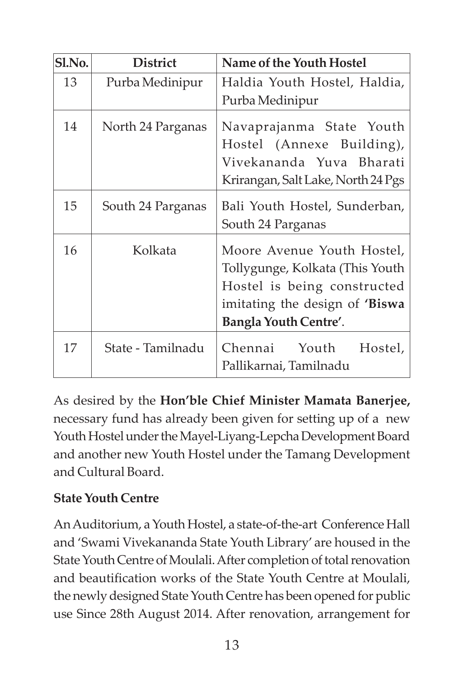| Sl.No. | <b>District</b>   | Name of the Youth Hostel                                                                                                                                       |
|--------|-------------------|----------------------------------------------------------------------------------------------------------------------------------------------------------------|
| 13     | Purba Medinipur   | Haldia Youth Hostel, Haldia,                                                                                                                                   |
|        |                   | Purba Medinipur                                                                                                                                                |
| 14     | North 24 Parganas | Navaprajanma State Youth<br>Hostel (Annexe Building),<br>Vivekananda Yuva Bharati<br>Krirangan, Salt Lake, North 24 Pgs                                        |
| 15     | South 24 Parganas | Bali Youth Hostel, Sunderban,<br>South 24 Parganas                                                                                                             |
| 16     | Kolkata           | Moore Avenue Youth Hostel,<br>Tollygunge, Kolkata (This Youth<br>Hostel is being constructed<br>imitating the design of 'Biswa<br><b>Bangla Youth Centre'.</b> |
| 17     | State - Tamilnadu | Chennai Youth<br>Hostel,<br>Pallikarnai, Tamilnadu                                                                                                             |

As desired by the **Hon'ble Chief Minister Mamata Banerjee,** necessary fund has already been given for setting up of a new Youth Hostel under the Mayel-Liyang-Lepcha Development Board and another new Youth Hostel under the Tamang Development and Cultural Board.

### **State Youth Centre**

An Auditorium, a Youth Hostel, a state-of-the-art Conference Hall and 'Swami Vivekananda State Youth Library' are housed in the State Youth Centre of Moulali. After completion of total renovation and beautification works of the State Youth Centre at Moulali, the newly designed State Youth Centre has been opened for public use Since 28th August 2014. After renovation, arrangement for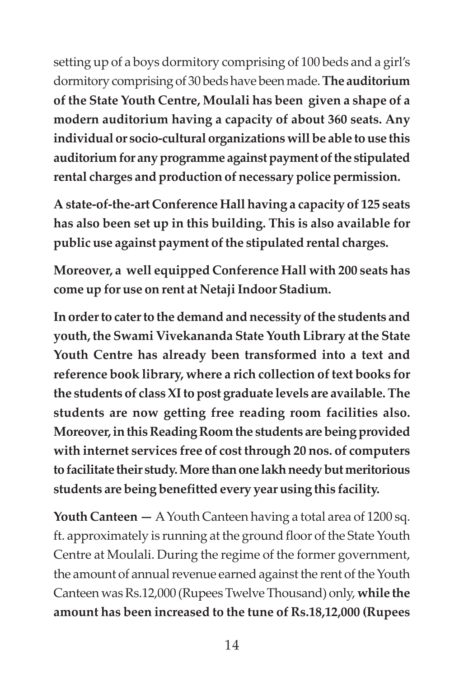setting up of a boys dormitory comprising of 100 beds and a girl's dormitory comprising of 30 beds have been made. **The auditorium of the State Youth Centre, Moulali has been given a shape of a modern auditorium having a capacity of about 360 seats. Any individual or socio-cultural organizations will be able to use this auditorium for any programme against payment of the stipulated rental charges and production of necessary police permission.**

**A state-of-the-art Conference Hall having a capacity of 125 seats has also been set up in this building. This is also available for public use against payment of the stipulated rental charges.**

**Moreover, a well equipped Conference Hall with 200 seats has come up for use on rent at Netaji Indoor Stadium.**

**In order to cater to the demand and necessity of the students and youth, the Swami Vivekananda State Youth Library at the State Youth Centre has already been transformed into a text and reference book library, where a rich collection of text books for the students of class XI to post graduate levels are available. The students are now getting free reading room facilities also. Moreover, in this Reading Room the students are being provided with internet services free of cost through 20 nos. of computers to facilitate their study. More than one lakh needy but meritorious students are being benefitted every year using this facility.**

**Youth Canteen —** A Youth Canteen having a total area of 1200 sq. ft. approximately is running at the ground floor of the State Youth Centre at Moulali. During the regime of the former government, the amount of annual revenue earned against the rent of the Youth Canteen was Rs.12,000 (Rupees Twelve Thousand) only, **while the amount has been increased to the tune of Rs.18,12,000 (Rupees**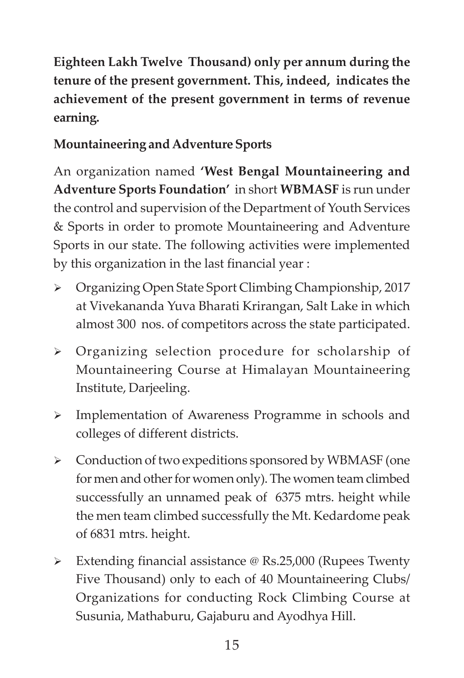**Eighteen Lakh Twelve Thousand) only per annum during the tenure of the present government. This, indeed, indicates the achievement of the present government in terms of revenue earning.**

### **Mountaineering and Adventure Sports**

An organization named **'West Bengal Mountaineering and Adventure Sports Foundation'** in short **WBMASF** is run under the control and supervision of the Department of Youth Services & Sports in order to promote Mountaineering and Adventure Sports in our state. The following activities were implemented by this organization in the last financial year :

- Organizing Open State Sport Climbing Championship, 2017 at Vivekananda Yuva Bharati Krirangan, Salt Lake in which almost 300 nos. of competitors across the state participated.
- Organizing selection procedure for scholarship of Mountaineering Course at Himalayan Mountaineering Institute, Darjeeling.
- Implementation of Awareness Programme in schools and colleges of different districts.
- Conduction of two expeditions sponsored by WBMASF (one for men and other for women only). The women team climbed successfully an unnamed peak of 6375 mtrs. height while the men team climbed successfully the Mt. Kedardome peak of 6831 mtrs. height.
- Extending financial assistance @ Rs.25,000 (Rupees Twenty Five Thousand) only to each of 40 Mountaineering Clubs/ Organizations for conducting Rock Climbing Course at Susunia, Mathaburu, Gajaburu and Ayodhya Hill.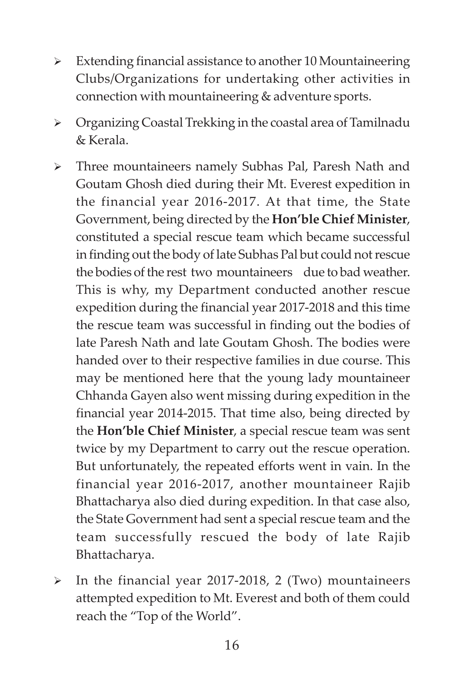- $\triangleright$  Extending financial assistance to another 10 Mountaineering Clubs/Organizations for undertaking other activities in connection with mountaineering & adventure sports.
- Organizing Coastal Trekking in the coastal area of Tamilnadu & Kerala.
- Three mountaineers namely Subhas Pal, Paresh Nath and Goutam Ghosh died during their Mt. Everest expedition in the financial year 2016-2017. At that time, the State Government, being directed by the **Hon'ble Chief Minister**, constituted a special rescue team which became successful in finding out the body of late Subhas Pal but could not rescue the bodies of the rest two mountaineers due to bad weather. This is why, my Department conducted another rescue expedition during the financial year 2017-2018 and this time the rescue team was successful in finding out the bodies of late Paresh Nath and late Goutam Ghosh. The bodies were handed over to their respective families in due course. This may be mentioned here that the young lady mountaineer Chhanda Gayen also went missing during expedition in the financial year 2014-2015. That time also, being directed by the **Hon'ble Chief Minister**, a special rescue team was sent twice by my Department to carry out the rescue operation. But unfortunately, the repeated efforts went in vain. In the financial year 2016-2017, another mountaineer Rajib Bhattacharya also died during expedition. In that case also, the State Government had sent a special rescue team and the team successfully rescued the body of late Rajib Bhattacharya.
- $\triangleright$  In the financial year 2017-2018, 2 (Two) mountaineers attempted expedition to Mt. Everest and both of them could reach the "Top of the World".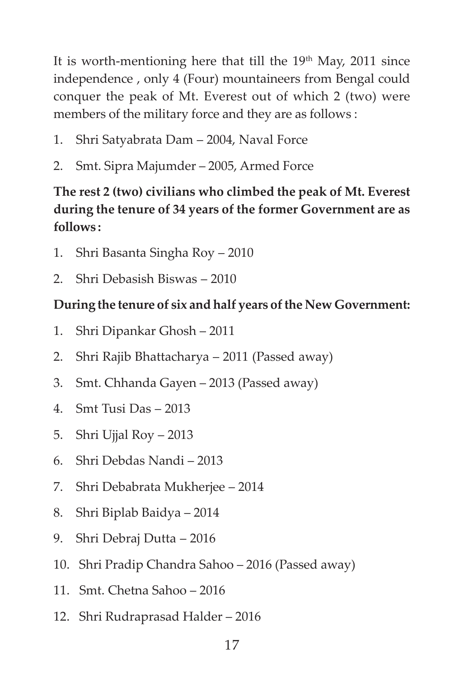It is worth-mentioning here that till the  $19<sup>th</sup>$  May, 2011 since independence , only 4 (Four) mountaineers from Bengal could conquer the peak of Mt. Everest out of which 2 (two) were members of the military force and they are as follows :

- 1. Shri Satyabrata Dam 2004, Naval Force
- 2. Smt. Sipra Majumder 2005, Armed Force

### **The rest 2 (two) civilians who climbed the peak of Mt. Everest during the tenure of 34 years of the former Government are as follows :**

- 1. Shri Basanta Singha Roy 2010
- 2. Shri Debasish Biswas 2010

### **During the tenure of six and half years of the New Government:**

- 1. Shri Dipankar Ghosh 2011
- 2. Shri Rajib Bhattacharya 2011 (Passed away)
- 3. Smt. Chhanda Gayen 2013 (Passed away)
- 4. Smt Tusi Das 2013
- 5. Shri Ujjal Roy 2013
- 6. Shri Debdas Nandi 2013
- 7. Shri Debabrata Mukherjee 2014
- 8. Shri Biplab Baidya 2014
- 9. Shri Debraj Dutta 2016
- 10. Shri Pradip Chandra Sahoo 2016 (Passed away)
- 11. Smt. Chetna Sahoo 2016
- 12. Shri Rudraprasad Halder 2016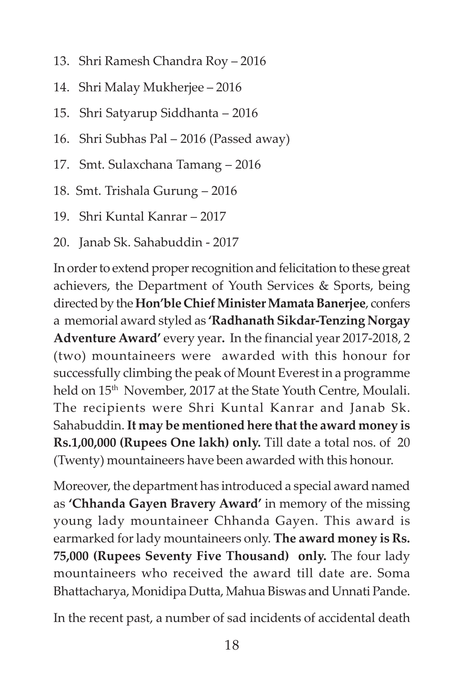- 13. Shri Ramesh Chandra Roy 2016
- 14. Shri Malay Mukherjee 2016
- 15. Shri Satyarup Siddhanta 2016
- 16. Shri Subhas Pal 2016 (Passed away)
- 17. Smt. Sulaxchana Tamang 2016
- 18. Smt. Trishala Gurung 2016
- 19. Shri Kuntal Kanrar 2017
- 20. Janab Sk. Sahabuddin 2017

In order to extend proper recognition and felicitation to these great achievers, the Department of Youth Services & Sports, being directed by the **Hon'ble Chief Minister Mamata Banerjee**, confers a memorial award styled as **'Radhanath Sikdar-Tenzing Norgay Adventure Award'** every year**.** In the financial year 2017-2018, 2 (two) mountaineers were awarded with this honour for successfully climbing the peak of Mount Everest in a programme held on 15<sup>th</sup> November, 2017 at the State Youth Centre, Moulali. The recipients were Shri Kuntal Kanrar and Janab Sk. Sahabuddin. **It may be mentioned here that the award money is Rs.1,00,000 (Rupees One lakh) only.** Till date a total nos. of 20 (Twenty) mountaineers have been awarded with this honour.

Moreover, the department has introduced a special award named as **'Chhanda Gayen Bravery Award'** in memory of the missing young lady mountaineer Chhanda Gayen. This award is earmarked for lady mountaineers only. **The award money is Rs. 75,000 (Rupees Seventy Five Thousand) only.** The four lady mountaineers who received the award till date are. Soma Bhattacharya, Monidipa Dutta, Mahua Biswas and Unnati Pande.

In the recent past, a number of sad incidents of accidental death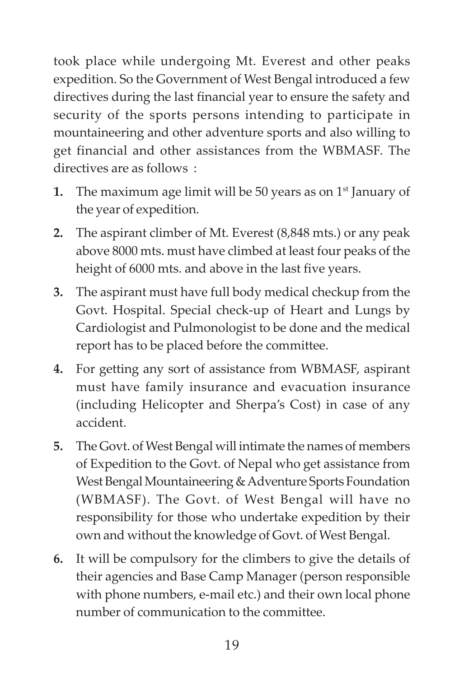took place while undergoing Mt. Everest and other peaks expedition. So the Government of West Bengal introduced a few directives during the last financial year to ensure the safety and security of the sports persons intending to participate in mountaineering and other adventure sports and also willing to get financial and other assistances from the WBMASF. The directives are as follows :

- **1.** The maximum age limit will be 50 years as on  $1<sup>st</sup>$  January of the year of expedition.
- **2.** The aspirant climber of Mt. Everest (8,848 mts.) or any peak above 8000 mts. must have climbed at least four peaks of the height of 6000 mts. and above in the last five years.
- **3.** The aspirant must have full body medical checkup from the Govt. Hospital. Special check-up of Heart and Lungs by Cardiologist and Pulmonologist to be done and the medical report has to be placed before the committee.
- **4.** For getting any sort of assistance from WBMASF, aspirant must have family insurance and evacuation insurance (including Helicopter and Sherpa's Cost) in case of any accident.
- **5.** The Govt. of West Bengal will intimate the names of members of Expedition to the Govt. of Nepal who get assistance from West Bengal Mountaineering & Adventure Sports Foundation (WBMASF). The Govt. of West Bengal will have no responsibility for those who undertake expedition by their own and without the knowledge of Govt. of West Bengal.
- **6.** It will be compulsory for the climbers to give the details of their agencies and Base Camp Manager (person responsible with phone numbers, e-mail etc.) and their own local phone number of communication to the committee.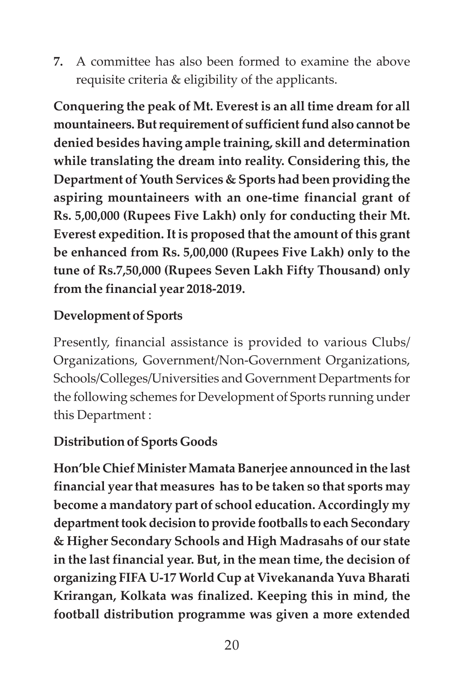**7.** A committee has also been formed to examine the above requisite criteria & eligibility of the applicants.

**Conquering the peak of Mt. Everest is an all time dream for all mountaineers. But requirement of sufficient fund also cannot be denied besides having ample training, skill and determination while translating the dream into reality. Considering this, the Department of Youth Services & Sports had been providing the aspiring mountaineers with an one-time financial grant of Rs. 5,00,000 (Rupees Five Lakh) only for conducting their Mt. Everest expedition. It is proposed that the amount of this grant be enhanced from Rs. 5,00,000 (Rupees Five Lakh) only to the tune of Rs.7,50,000 (Rupees Seven Lakh Fifty Thousand) only from the financial year 2018-2019.**

### **Development of Sports**

Presently, financial assistance is provided to various Clubs/ Organizations, Government/Non-Government Organizations, Schools/Colleges/Universities and Government Departments for the following schemes for Development of Sports running under this Department :

### **Distribution of Sports Goods**

**Hon'ble Chief Minister Mamata Banerjee announced in the last financial year that measures has to be taken so that sports may become a mandatory part of school education. Accordingly my department took decision to provide footballs to each Secondary & Higher Secondary Schools and High Madrasahs of our state in the last financial year. But, in the mean time, the decision of organizing FIFA U-17 World Cup at Vivekananda Yuva Bharati Krirangan, Kolkata was finalized. Keeping this in mind, the football distribution programme was given a more extended**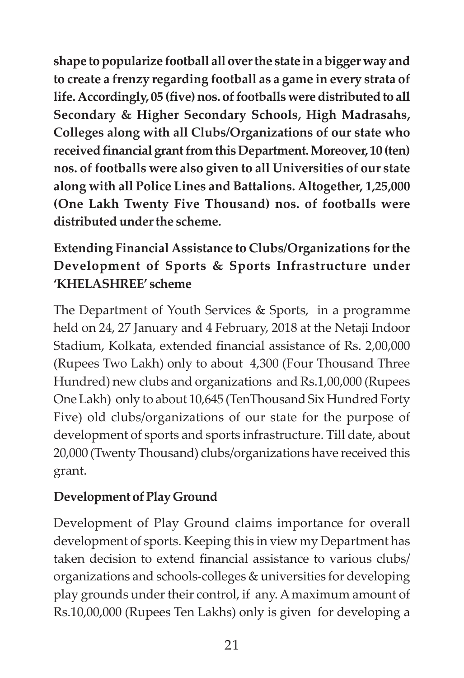**shape to popularize football all over the state in a bigger way and to create a frenzy regarding football as a game in every strata of life. Accordingly, 05 (five) nos. of footballs were distributed to all Secondary & Higher Secondary Schools, High Madrasahs, Colleges along with all Clubs/Organizations of our state who received financial grant from this Department. Moreover, 10 (ten) nos. of footballs were also given to all Universities of our state along with all Police Lines and Battalions. Altogether, 1,25,000 (One Lakh Twenty Five Thousand) nos. of footballs were distributed under the scheme.**

## **Extending Financial Assistance to Clubs/Organizations for the Development of Sports & Sports Infrastructure under 'KHELASHREE' scheme**

The Department of Youth Services & Sports, in a programme held on 24, 27 January and 4 February, 2018 at the Netaji Indoor Stadium, Kolkata, extended financial assistance of Rs. 2,00,000 (Rupees Two Lakh) only to about 4,300 (Four Thousand Three Hundred) new clubs and organizations and Rs.1,00,000 (Rupees One Lakh) only to about 10,645 (TenThousand Six Hundred Forty Five) old clubs/organizations of our state for the purpose of development of sports and sports infrastructure. Till date, about 20,000 (Twenty Thousand) clubs/organizations have received this grant.

## **Development of Play Ground**

Development of Play Ground claims importance for overall development of sports. Keeping this in view my Department has taken decision to extend financial assistance to various clubs/ organizations and schools-colleges & universities for developing play grounds under their control, if any. A maximum amount of Rs.10,00,000 (Rupees Ten Lakhs) only is given for developing a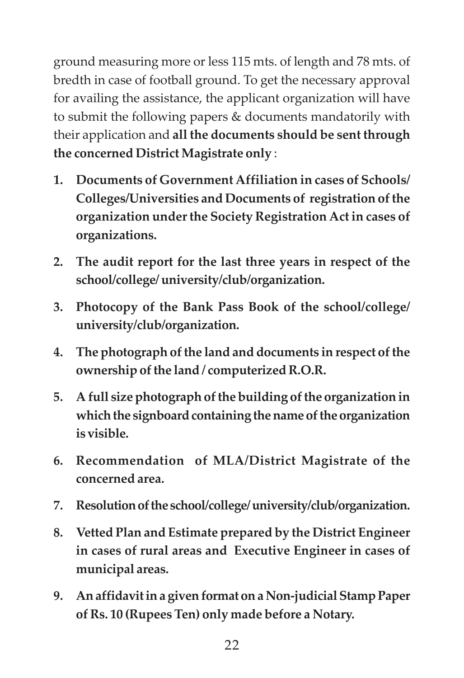ground measuring more or less 115 mts. of length and 78 mts. of bredth in case of football ground. To get the necessary approval for availing the assistance, the applicant organization will have to submit the following papers & documents mandatorily with their application and **all the documents should be sent through the concerned District Magistrate only** :

- **1. Documents of Government Affiliation in cases of Schools/ Colleges/Universities and Documents of registration of the organization under the Society Registration Act in cases of organizations.**
- **2. The audit report for the last three years in respect of the school/college/ university/club/organization.**
- **3. Photocopy of the Bank Pass Book of the school/college/ university/club/organization.**
- **4. The photograph of the land and documents in respect of the ownership of the land / computerized R.O.R.**
- **5. A full size photograph of the building of the organization in which the signboard containing the name of the organization is visible.**
- **6. Recommendation of MLA/District Magistrate of the concerned area.**
- **7. Resolution of the school/college/ university/club/organization.**
- **8. Vetted Plan and Estimate prepared by the District Engineer in cases of rural areas and Executive Engineer in cases of municipal areas.**
- **9. An affidavit in a given format on a Non-judicial Stamp Paper of Rs. 10 (Rupees Ten) only made before a Notary.**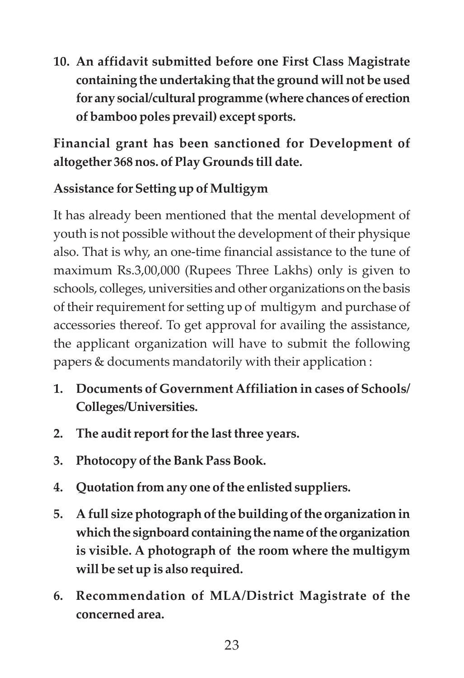**10. An affidavit submitted before one First Class Magistrate containing the undertaking that the ground will not be used for any social/cultural programme (where chances of erection of bamboo poles prevail) except sports.**

**Financial grant has been sanctioned for Development of altogether 368 nos. of Play Grounds till date.**

## **Assistance for Setting up of Multigym**

It has already been mentioned that the mental development of youth is not possible without the development of their physique also. That is why, an one-time financial assistance to the tune of maximum Rs.3,00,000 (Rupees Three Lakhs) only is given to schools, colleges, universities and other organizations on the basis of their requirement for setting up of multigym and purchase of accessories thereof. To get approval for availing the assistance, the applicant organization will have to submit the following papers & documents mandatorily with their application :

- **1. Documents of Government Affiliation in cases of Schools/ Colleges/Universities.**
- **2. The audit report for the last three years.**
- **3. Photocopy of the Bank Pass Book.**
- **4. Quotation from any one of the enlisted suppliers.**
- **5. A full size photograph of the building of the organization in which the signboard containing the name of the organization is visible. A photograph of the room where the multigym will be set up is also required.**
- **6. Recommendation of MLA/District Magistrate of the concerned area.**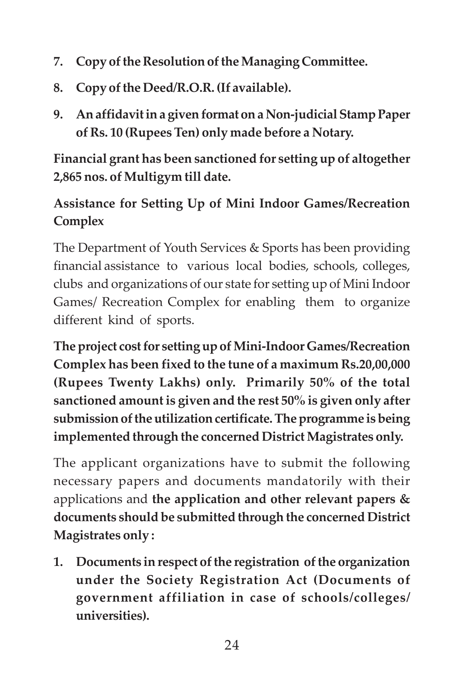- **7. Copy of the Resolution of the Managing Committee.**
- **8. Copy of the Deed/R.O.R. (If available).**
- **9. An affidavit in a given format on a Non-judicial Stamp Paper of Rs. 10 (Rupees Ten) only made before a Notary.**

**Financial grant has been sanctioned for setting up of altogether 2,865 nos. of Multigym till date.**

## **Assistance for Setting Up of Mini Indoor Games/Recreation Complex**

The Department of Youth Services & Sports has been providing financial assistance to various local bodies, schools, colleges, clubs and organizations of our state for setting up of Mini Indoor Games/ Recreation Complex for enabling them to organize different kind of sports.

**The project cost for setting up of Mini-Indoor Games/Recreation Complex has been fixed to the tune of a maximum Rs.20,00,000 (Rupees Twenty Lakhs) only. Primarily 50% of the total sanctioned amount is given and the rest 50% is given only after submission of the utilization certificate. The programme is being implemented through the concerned District Magistrates only.**

The applicant organizations have to submit the following necessary papers and documents mandatorily with their applications and **the application and other relevant papers & documents should be submitted through the concerned District Magistrates only :**

**1. Documents in respect of the registration of the organization under the Society Registration Act (Documents of government affiliation in case of schools/colleges/ universities).**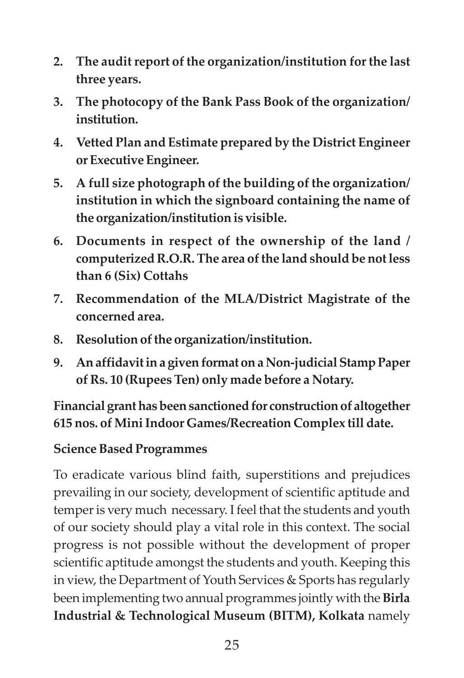- **2. The audit report of the organization/institution for the last three years.**
- **3. The photocopy of the Bank Pass Book of the organization/ institution.**
- **4. Vetted Plan and Estimate prepared by the District Engineer or Executive Engineer.**
- **5. A full size photograph of the building of the organization/ institution in which the signboard containing the name of the organization/institution is visible.**
- **6. Documents in respect of the ownership of the land / computerized R.O.R. The area of the land should be not less than 6 (Six) Cottahs**
- **7. Recommendation of the MLA/District Magistrate of the concerned area.**
- **8. Resolution of the organization/institution.**
- **9. An affidavit in a given format on a Non-judicial Stamp Paper of Rs. 10 (Rupees Ten) only made before a Notary.**

**Financial grant has been sanctioned for construction of altogether 615 nos. of Mini Indoor Games/Recreation Complex till date.**

#### **Science Based Programmes**

To eradicate various blind faith, superstitions and prejudices prevailing in our society, development of scientific aptitude and temper is very much necessary. I feel that the students and youth of our society should play a vital role in this context. The social progress is not possible without the development of proper scientific aptitude amongst the students and youth. Keeping this in view, the Department of Youth Services & Sports has regularly been implementing two annual programmes jointly with the **Birla Industrial & Technological Museum (BITM), Kolkata** namely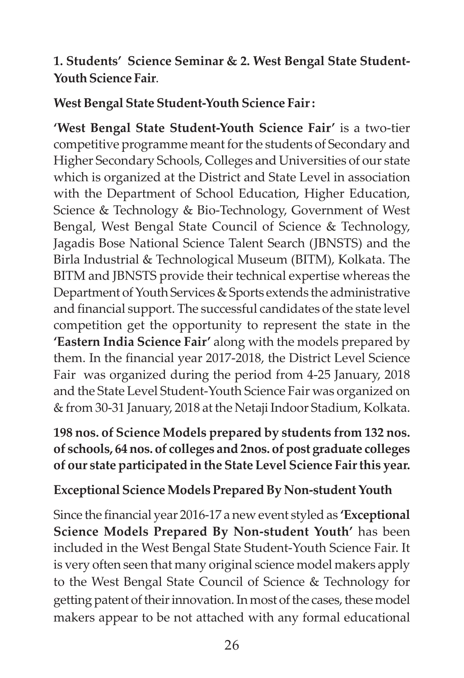#### **1. Students' Science Seminar & 2. West Bengal State Student-Youth Science Fair**.

#### **West Bengal State Student-Youth Science Fair :**

**'West Bengal State Student-Youth Science Fair'** is a two-tier competitive programme meant for the students of Secondary and Higher Secondary Schools, Colleges and Universities of our state which is organized at the District and State Level in association with the Department of School Education, Higher Education, Science & Technology & Bio-Technology, Government of West Bengal, West Bengal State Council of Science & Technology, Jagadis Bose National Science Talent Search (JBNSTS) and the Birla Industrial & Technological Museum (BITM), Kolkata. The BITM and JBNSTS provide their technical expertise whereas the Department of Youth Services & Sports extends the administrative and financial support. The successful candidates of the state level competition get the opportunity to represent the state in the **'Eastern India Science Fair'** along with the models prepared by them. In the financial year 2017-2018, the District Level Science Fair was organized during the period from 4-25 January, 2018 and the State Level Student-Youth Science Fair was organized on & from 30-31 January, 2018 at the Netaji Indoor Stadium, Kolkata.

### **198 nos. of Science Models prepared by students from 132 nos. of schools, 64 nos. of colleges and 2nos. of post graduate colleges of our state participated in the State Level Science Fair this year.**

### **Exceptional Science Models Prepared By Non-student Youth**

Since the financial year 2016-17 a new event styled as **'Exceptional Science Models Prepared By Non-student Youth'** has been included in the West Bengal State Student-Youth Science Fair. It is very often seen that many original science model makers apply to the West Bengal State Council of Science & Technology for getting patent of their innovation. In most of the cases, these model makers appear to be not attached with any formal educational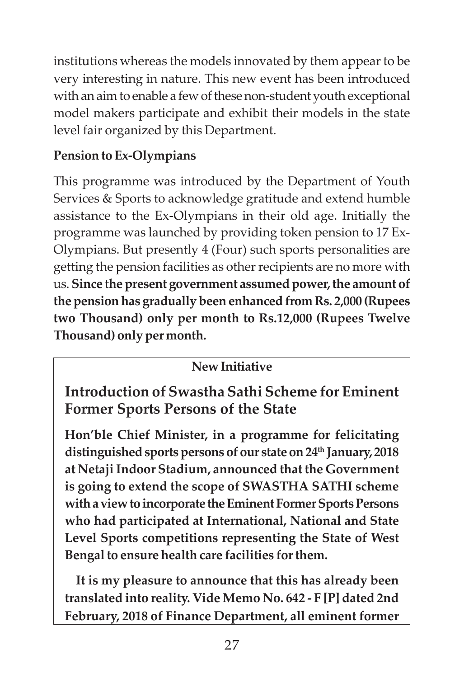institutions whereas the models innovated by them appear to be very interesting in nature. This new event has been introduced with an aim to enable a few of these non-student youth exceptional model makers participate and exhibit their models in the state level fair organized by this Department.

## **Pension to Ex-Olympians**

This programme was introduced by the Department of Youth Services & Sports to acknowledge gratitude and extend humble assistance to the Ex-Olympians in their old age. Initially the programme was launched by providing token pension to 17 Ex-Olympians. But presently 4 (Four) such sports personalities are getting the pension facilities as other recipients are no more with us. **Since** t**he present government assumed power, the amount of the pension has gradually been enhanced from Rs. 2,000 (Rupees two Thousand) only per month to Rs.12,000 (Rupees Twelve Thousand) only per month.**

## **New Initiative**

**Introduction of Swastha Sathi Scheme for Eminent Former Sports Persons of the State**

**Hon'ble Chief Minister, in a programme for felicitating distinguished sports persons of our state on 24th January, 2018 at Netaji Indoor Stadium, announced that the Government is going to extend the scope of SWASTHA SATHI scheme with a view to incorporate the Eminent Former Sports Persons who had participated at International, National and State Level Sports competitions representing the State of West Bengal to ensure health care facilities for them.**

**It is my pleasure to announce that this has already been translated into reality. Vide Memo No. 642 - F [P] dated 2nd February, 2018 of Finance Department, all eminent former**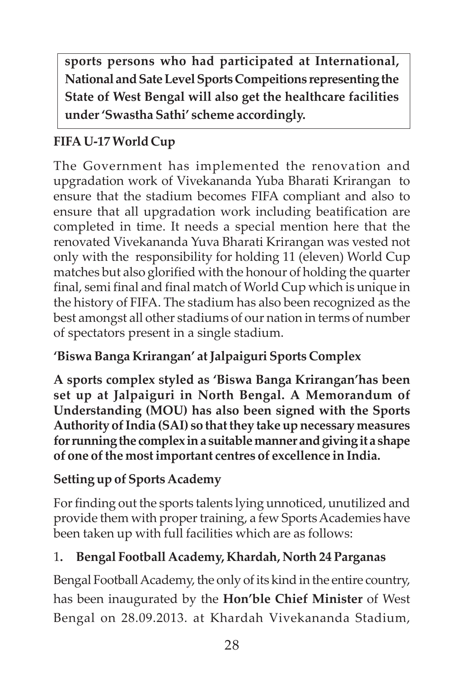**sports persons who had participated at International, National and Sate Level Sports Compeitions representing the State of West Bengal will also get the healthcare facilities under 'Swastha Sathi' scheme accordingly.**

## **FIFA U-17 World Cup**

The Government has implemented the renovation and upgradation work of Vivekananda Yuba Bharati Krirangan to ensure that the stadium becomes FIFA compliant and also to ensure that all upgradation work including beatification are completed in time. It needs a special mention here that the renovated Vivekananda Yuva Bharati Krirangan was vested not only with the responsibility for holding 11 (eleven) World Cup matches but also glorified with the honour of holding the quarter final, semi final and final match of World Cup which is unique in the history of FIFA. The stadium has also been recognized as the best amongst all other stadiums of our nation in terms of number of spectators present in a single stadium.

## **'Biswa Banga Krirangan' at Jalpaiguri Sports Complex**

**A sports complex styled as 'Biswa Banga Krirangan'has been set up at Jalpaiguri in North Bengal. A Memorandum of Understanding (MOU) has also been signed with the Sports Authority of India (SAI) so that they take up necessary measures for running the complex in a suitable manner and giving it a shape of one of the most important centres of excellence in India.**

### **Setting up of Sports Academy**

For finding out the sports talents lying unnoticed, unutilized and provide them with proper training, a few Sports Academies have been taken up with full facilities which are as follows:

### 1**. Bengal Football Academy, Khardah, North 24 Parganas**

Bengal Football Academy, the only of its kind in the entire country, has been inaugurated by the **Hon'ble Chief Minister** of West Bengal on 28.09.2013. at Khardah Vivekananda Stadium,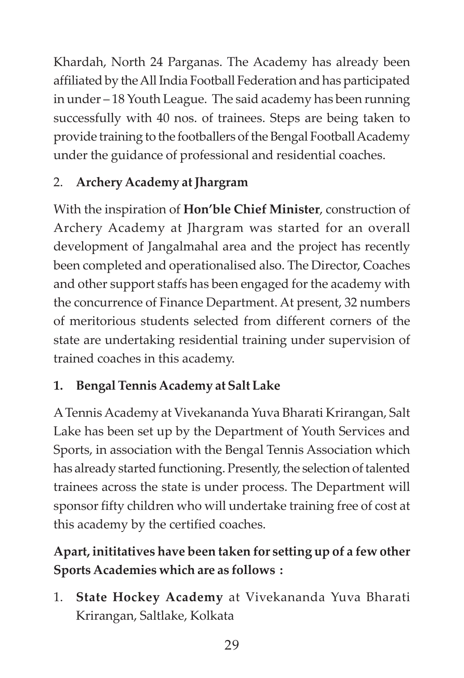Khardah, North 24 Parganas. The Academy has already been affiliated by the All India Football Federation and has participated in under – 18 Youth League. The said academy has been running successfully with 40 nos. of trainees. Steps are being taken to provide training to the footballers of the Bengal Football Academy under the guidance of professional and residential coaches.

## 2. **Archery Academy at Jhargram**

With the inspiration of **Hon'ble Chief Minister**, construction of Archery Academy at Jhargram was started for an overall development of Jangalmahal area and the project has recently been completed and operationalised also. The Director, Coaches and other support staffs has been engaged for the academy with the concurrence of Finance Department. At present, 32 numbers of meritorious students selected from different corners of the state are undertaking residential training under supervision of trained coaches in this academy.

## **1. Bengal Tennis Academy at Salt Lake**

A Tennis Academy at Vivekananda Yuva Bharati Krirangan, Salt Lake has been set up by the Department of Youth Services and Sports, in association with the Bengal Tennis Association which has already started functioning. Presently, the selection of talented trainees across the state is under process. The Department will sponsor fifty children who will undertake training free of cost at this academy by the certified coaches.

# **Apart, inititatives have been taken for setting up of a few other Sports Academies which are as follows :**

1. **State Hockey Academy** at Vivekananda Yuva Bharati Krirangan, Saltlake, Kolkata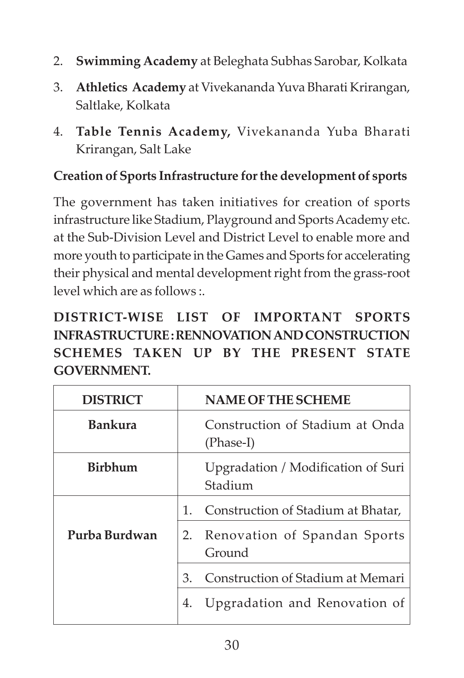- 2. **Swimming Academy** at Beleghata Subhas Sarobar, Kolkata
- 3. **Athletics Academy** at Vivekananda Yuva Bharati Krirangan, Saltlake, Kolkata
- 4. **Table Tennis Academy,** Vivekananda Yuba Bharati Krirangan, Salt Lake

#### **Creation of Sports Infrastructure for the development of sports**

The government has taken initiatives for creation of sports infrastructure like Stadium, Playground and Sports Academy etc. at the Sub-Division Level and District Level to enable more and more youth to participate in the Games and Sports for accelerating their physical and mental development right from the grass-root level which are as follows :.

**DISTRICT-WISE LIST OF IMPORTANT SPORTS INFRASTRUCTURE : RENNOVATION AND CONSTRUCTION SCHEMES TAKEN UP BY THE PRESENT STATE GOVERNMENT.**

| <b>DISTRICT</b> | <b>NAME OF THE SCHEME</b>                     |
|-----------------|-----------------------------------------------|
| <b>Bankura</b>  | Construction of Stadium at Onda<br>(Phase-I)  |
| <b>Birbhum</b>  | Upgradation / Modification of Suri<br>Stadium |
|                 | Construction of Stadium at Bhatar,<br>$1_{-}$ |
| Purba Burdwan   | 2. Renovation of Spandan Sports<br>Ground     |
|                 | Construction of Stadium at Memari<br>3.       |
|                 | Upgradation and Renovation of<br>4.           |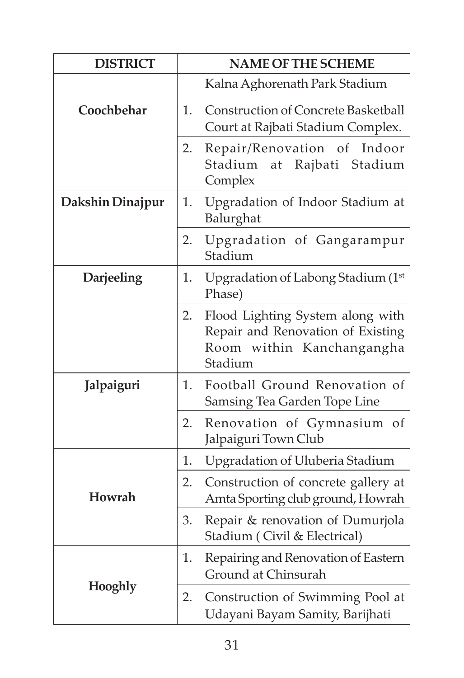| <b>DISTRICT</b>  | <b>NAME OF THE SCHEME</b>                                                                                           |  |
|------------------|---------------------------------------------------------------------------------------------------------------------|--|
|                  | Kalna Aghorenath Park Stadium                                                                                       |  |
| Coochbehar       | <b>Construction of Concrete Basketball</b><br>1.<br>Court at Rajbati Stadium Complex.                               |  |
|                  | Repair/Renovation of Indoor<br>2.<br>Stadium<br>at Rajbati Stadium<br>Complex                                       |  |
| Dakshin Dinajpur | Upgradation of Indoor Stadium at<br>1.<br>Balurghat                                                                 |  |
|                  | Upgradation of Gangarampur<br>2.<br>Stadium                                                                         |  |
| Darjeeling       | Upgradation of Labong Stadium (1st<br>1.<br>Phase)                                                                  |  |
|                  | Flood Lighting System along with<br>2.<br>Repair and Renovation of Existing<br>Room within Kanchangangha<br>Stadium |  |
| Jalpaiguri       | Football Ground Renovation of<br>1.<br>Samsing Tea Garden Tope Line                                                 |  |
|                  | 2.<br>Renovation of Gymnasium of<br>Jalpaiguri Town Club                                                            |  |
|                  | Upgradation of Uluberia Stadium<br>1.                                                                               |  |
| <b>Howrah</b>    | Construction of concrete gallery at<br>2.<br>Amta Sporting club ground, Howrah                                      |  |
|                  | Repair & renovation of Dumurjola<br>3.<br>Stadium (Civil & Electrical)                                              |  |
|                  | Repairing and Renovation of Eastern<br>1.<br>Ground at Chinsurah                                                    |  |
| Hooghly          | 2.<br>Construction of Swimming Pool at<br>Udayani Bayam Samity, Barijhati                                           |  |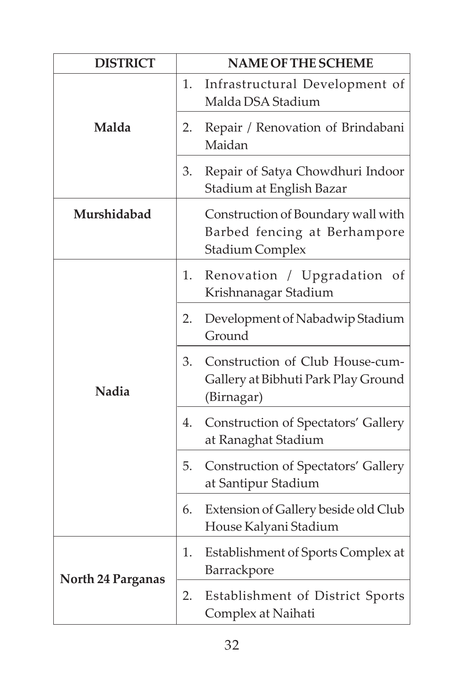| <b>DISTRICT</b>          | <b>NAME OF THE SCHEME</b> |                                                                                              |
|--------------------------|---------------------------|----------------------------------------------------------------------------------------------|
| Malda                    | 1.                        | Infrastructural Development of<br>Malda DSA Stadium                                          |
|                          | 2.                        | Repair / Renovation of Brindabani<br>Maidan                                                  |
|                          | 3.                        | Repair of Satya Chowdhuri Indoor<br>Stadium at English Bazar                                 |
| Murshidabad              |                           | Construction of Boundary wall with<br>Barbed fencing at Berhampore<br><b>Stadium Complex</b> |
| Nadia                    | 1.                        | Renovation / Upgradation<br>of<br>Krishnanagar Stadium                                       |
|                          | 2.                        | Development of Nabadwip Stadium<br>Ground                                                    |
|                          | 3.                        | Construction of Club House-cum-<br>Gallery at Bibhuti Park Play Ground<br>(Birnagar)         |
|                          | 4.                        | <b>Construction of Spectators' Gallery</b><br>at Ranaghat Stadium                            |
|                          | 5.                        | <b>Construction of Spectators' Gallery</b><br>at Santipur Stadium                            |
|                          | 6.                        | Extension of Gallery beside old Club<br>House Kalyani Stadium                                |
| <b>North 24 Parganas</b> | 1.                        | Establishment of Sports Complex at<br>Barrackpore                                            |
|                          | 2.                        | Establishment of District Sports<br>Complex at Naihati                                       |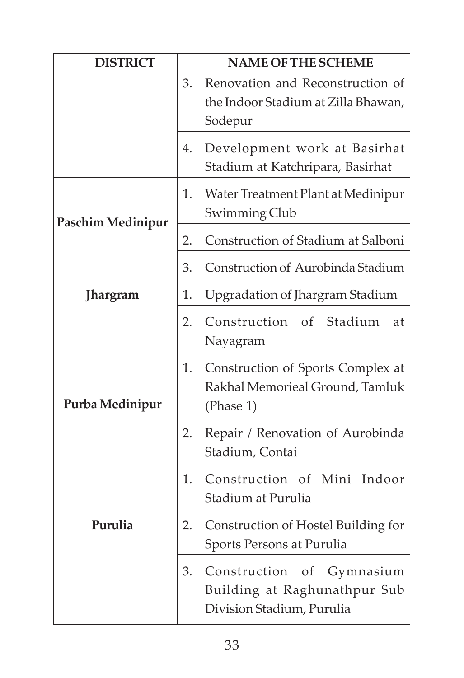| <b>DISTRICT</b>   | <b>NAME OF THE SCHEME</b> |                                                                                        |
|-------------------|---------------------------|----------------------------------------------------------------------------------------|
|                   | 3.                        | Renovation and Reconstruction of<br>the Indoor Stadium at Zilla Bhawan,<br>Sodepur     |
|                   | 4.                        | Development work at Basirhat<br>Stadium at Katchripara, Basirhat                       |
| Paschim Medinipur | 1.                        | Water Treatment Plant at Medinipur<br>Swimming Club                                    |
|                   | 2.                        | Construction of Stadium at Salboni                                                     |
|                   | 3.                        | Construction of Aurobinda Stadium                                                      |
| <b>Jhargram</b>   | 1.                        | Upgradation of Jhargram Stadium                                                        |
|                   | 2.                        | Construction of Stadium<br>at<br>Nayagram                                              |
| Purba Medinipur   | 1.                        | Construction of Sports Complex at<br>Rakhal Memorieal Ground, Tamluk<br>(Phase 1)      |
|                   | 2.                        | Repair / Renovation of Aurobinda<br>Stadium, Contai                                    |
|                   | 1.                        | Construction of Mini Indoor<br>Stadium at Purulia                                      |
| Purulia           | 2.                        | Construction of Hostel Building for<br>Sports Persons at Purulia                       |
|                   | 3.                        | Construction of Gymnasium<br>Building at Raghunathpur Sub<br>Division Stadium, Purulia |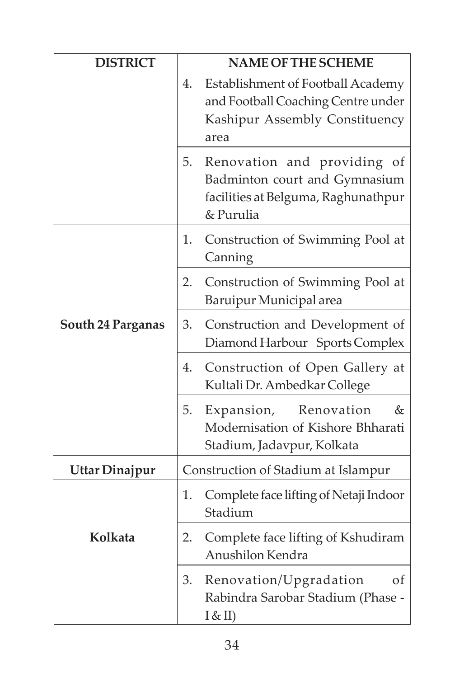| <b>DISTRICT</b>          | <b>NAME OF THE SCHEME</b>                                                                                               |  |
|--------------------------|-------------------------------------------------------------------------------------------------------------------------|--|
|                          | Establishment of Football Academy<br>4.<br>and Football Coaching Centre under<br>Kashipur Assembly Constituency<br>area |  |
|                          | Renovation and providing of<br>5.<br>Badminton court and Gymnasium<br>facilities at Belguma, Raghunathpur<br>& Purulia  |  |
|                          | Construction of Swimming Pool at<br>1.<br>Canning                                                                       |  |
| <b>South 24 Parganas</b> | Construction of Swimming Pool at<br>2.<br>Baruipur Municipal area                                                       |  |
|                          | Construction and Development of<br>3.<br>Diamond Harbour Sports Complex                                                 |  |
|                          | Construction of Open Gallery at<br>4.<br>Kultali Dr. Ambedkar College                                                   |  |
|                          | 5.<br>Expansion, Renovation<br>&<br>Modernisation of Kishore Bhharati<br>Stadium, Jadavpur, Kolkata                     |  |
| Uttar Dinajpur           | Construction of Stadium at Islampur                                                                                     |  |
|                          | 1. Complete face lifting of Netaji Indoor<br>Stadium                                                                    |  |
| Kolkata                  | Complete face lifting of Kshudiram<br>2.<br>Anushilon Kendra                                                            |  |
|                          | Renovation/Upgradation<br>3.<br>οf<br>Rabindra Sarobar Stadium (Phase -<br>$I &cupinfty$ II)                            |  |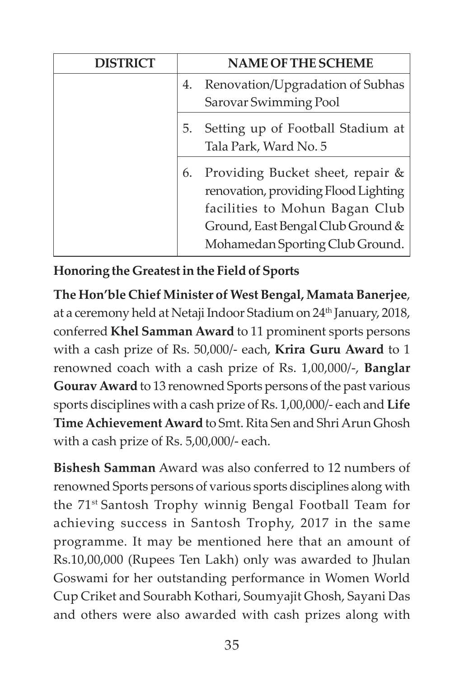| <b>DISTRICT</b> | <b>NAME OF THE SCHEME</b>               |
|-----------------|-----------------------------------------|
|                 | 4. Renovation/Upgradation of Subhas     |
|                 | Sarovar Swimming Pool                   |
|                 | Setting up of Football Stadium at<br>5. |
|                 | Tala Park, Ward No. 5                   |
|                 | Providing Bucket sheet, repair &<br>6.  |
|                 | renovation, providing Flood Lighting    |
|                 | facilities to Mohun Bagan Club          |
|                 | Ground, East Bengal Club Ground &       |
|                 | Mohamedan Sporting Club Ground.         |

## **Honoring the Greatest in the Field of Sports**

**The Hon'ble Chief Minister of West Bengal, Mamata Banerjee**, at a ceremony held at Netaji Indoor Stadium on 24th January, 2018, conferred **Khel Samman Award** to 11 prominent sports persons with a cash prize of Rs. 50,000/- each, **Krira Guru Award** to 1 renowned coach with a cash prize of Rs. 1,00,000/-, **Banglar Gourav Award** to 13 renowned Sports persons of the past various sports disciplines with a cash prize of Rs. 1,00,000/- each and **Life Time Achievement Award** to Smt. Rita Sen and Shri Arun Ghosh with a cash prize of Rs. 5,00,000/- each.

**Bishesh Samman** Award was also conferred to 12 numbers of renowned Sports persons of various sports disciplines along with the 71st Santosh Trophy winnig Bengal Football Team for achieving success in Santosh Trophy, 2017 in the same programme. It may be mentioned here that an amount of Rs.10,00,000 (Rupees Ten Lakh) only was awarded to Jhulan Goswami for her outstanding performance in Women World Cup Criket and Sourabh Kothari, Soumyajit Ghosh, Sayani Das and others were also awarded with cash prizes along with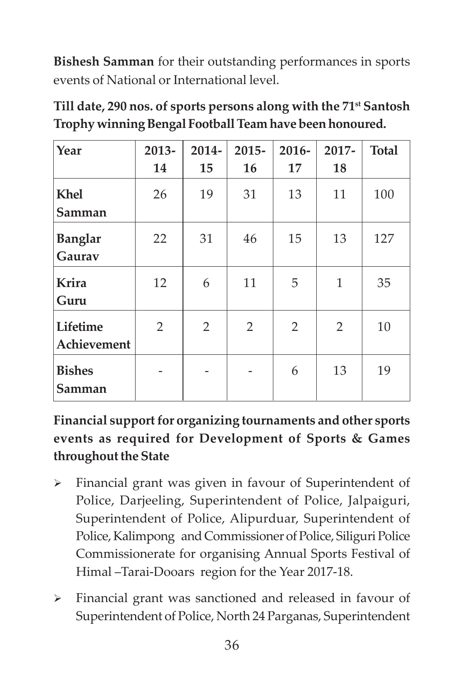**Bishesh Samman** for their outstanding performances in sports events of National or International level.

| Till date, 290 nos. of sports persons along with the 71 <sup>st</sup> Santosh |
|-------------------------------------------------------------------------------|
| Trophy winning Bengal Football Team have been honoured.                       |

| Year                     | $2013 -$       | $2014 -$       | $2015 -$ | $2016 -$       | 2017-          | <b>Total</b> |
|--------------------------|----------------|----------------|----------|----------------|----------------|--------------|
|                          | 14             | 15             | 16       | 17             | 18             |              |
| Khel<br>Samman           | 26             | 19             | 31       | 13             | 11             | 100          |
| <b>Banglar</b><br>Gaurav | 22             | 31             | 46       | 15             | 13             | 127          |
| Krira<br>Guru            | 12             | 6              | 11       | 5              | $\mathbf{1}$   | 35           |
| Lifetime<br>Achievement  | $\overline{2}$ | $\overline{2}$ | 2        | $\overline{2}$ | $\overline{2}$ | 10           |
| <b>Bishes</b><br>Samman  |                |                |          | 6              | 13             | 19           |

## **Financial support for organizing tournaments and other sports events as required for Development of Sports & Games throughout the State**

- Financial grant was given in favour of Superintendent of Police, Darjeeling, Superintendent of Police, Jalpaiguri, Superintendent of Police, Alipurduar, Superintendent of Police, Kalimpong and Commissioner of Police, Siliguri Police Commissionerate for organising Annual Sports Festival of Himal –Tarai-Dooars region for the Year 2017-18.
- Financial grant was sanctioned and released in favour of Superintendent of Police, North 24 Parganas, Superintendent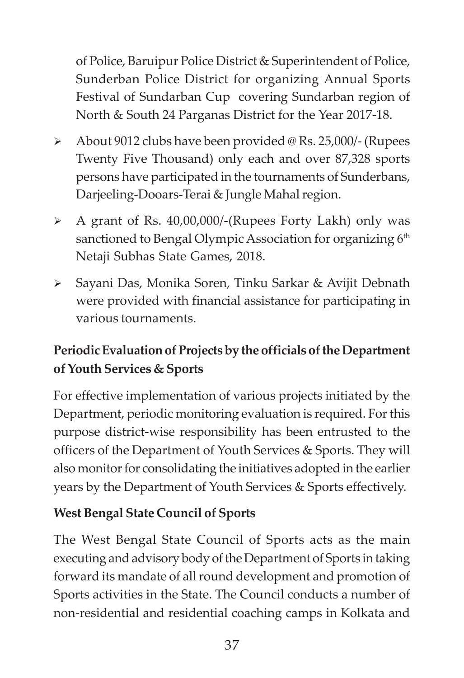of Police, Baruipur Police District & Superintendent of Police, Sunderban Police District for organizing Annual Sports Festival of Sundarban Cup covering Sundarban region of North & South 24 Parganas District for the Year 2017-18.

- About 9012 clubs have been provided @ Rs. 25,000/- (Rupees Twenty Five Thousand) only each and over 87,328 sports persons have participated in the tournaments of Sunderbans, Darjeeling-Dooars-Terai & Jungle Mahal region.
- A grant of Rs. 40,00,000/-(Rupees Forty Lakh) only was sanctioned to Bengal Olympic Association for organizing 6<sup>th</sup> Netaji Subhas State Games, 2018.
- Sayani Das, Monika Soren, Tinku Sarkar & Avijit Debnath were provided with financial assistance for participating in various tournaments.

# **Periodic Evaluation of Projects by the officials of the Department of Youth Services & Sports**

For effective implementation of various projects initiated by the Department, periodic monitoring evaluation is required. For this purpose district-wise responsibility has been entrusted to the officers of the Department of Youth Services & Sports. They will also monitor for consolidating the initiatives adopted in the earlier years by the Department of Youth Services & Sports effectively.

### **West Bengal State Council of Sports**

The West Bengal State Council of Sports acts as the main executing and advisory body of the Department of Sports in taking forward its mandate of all round development and promotion of Sports activities in the State. The Council conducts a number of non-residential and residential coaching camps in Kolkata and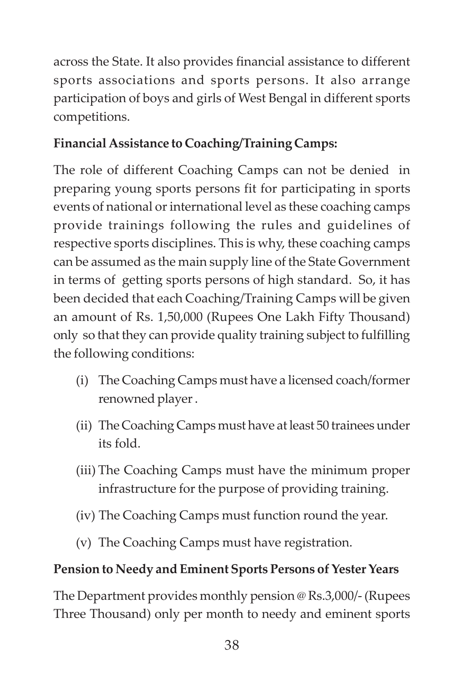across the State. It also provides financial assistance to different sports associations and sports persons. It also arrange participation of boys and girls of West Bengal in different sports competitions.

## **Financial Assistance to Coaching/Training Camps:**

The role of different Coaching Camps can not be denied in preparing young sports persons fit for participating in sports events of national or international level as these coaching camps provide trainings following the rules and guidelines of respective sports disciplines. This is why, these coaching camps can be assumed as the main supply line of the State Government in terms of getting sports persons of high standard. So, it has been decided that each Coaching/Training Camps will be given an amount of Rs. 1,50,000 (Rupees One Lakh Fifty Thousand) only so that they can provide quality training subject to fulfilling the following conditions:

- (i) The Coaching Camps must have a licensed coach/former renowned player .
- (ii) The Coaching Camps must have at least 50 trainees under its fold.
- (iii) The Coaching Camps must have the minimum proper infrastructure for the purpose of providing training.
- (iv) The Coaching Camps must function round the year.
- (v) The Coaching Camps must have registration.

## **Pension to Needy and Eminent Sports Persons of Yester Years**

The Department provides monthly pension @ Rs.3,000/- (Rupees Three Thousand) only per month to needy and eminent sports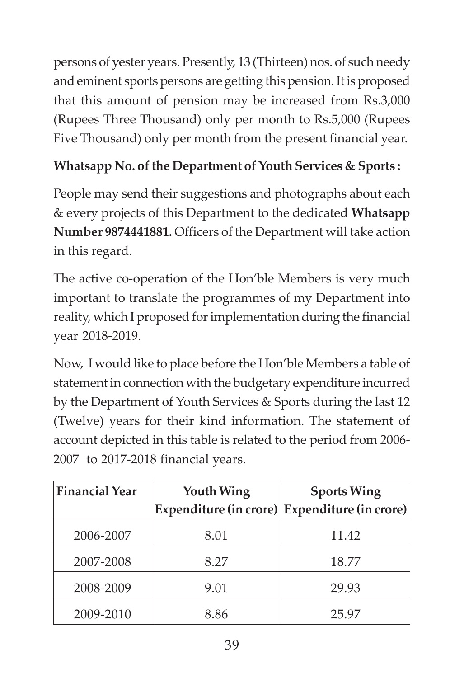persons of yester years. Presently, 13 (Thirteen) nos. of such needy and eminent sports persons are getting this pension. It is proposed that this amount of pension may be increased from Rs.3,000 (Rupees Three Thousand) only per month to Rs.5,000 (Rupees Five Thousand) only per month from the present financial year.

## **Whatsapp No. of the Department of Youth Services & Sports :**

People may send their suggestions and photographs about each & every projects of this Department to the dedicated **Whatsapp Number 9874441881.** Officers of the Department will take action in this regard.

The active co-operation of the Hon'ble Members is very much important to translate the programmes of my Department into reality, which I proposed for implementation during the financial year 2018-2019.

Now, I would like to place before the Hon'ble Members a table of statement in connection with the budgetary expenditure incurred by the Department of Youth Services & Sports during the last 12 (Twelve) years for their kind information. The statement of account depicted in this table is related to the period from 2006- 2007 to 2017-2018 financial years.

| <b>Financial Year</b> | <b>Youth Wing</b> | <b>Sports Wing</b><br>Expenditure (in crore) Expenditure (in crore) |
|-----------------------|-------------------|---------------------------------------------------------------------|
| 2006-2007             | 8.01              | 11.42                                                               |
| 2007-2008             | 8.27              | 18.77                                                               |
| 2008-2009             | 9.01              | 29.93                                                               |
| 2009-2010             | 8.86              | 25.97                                                               |